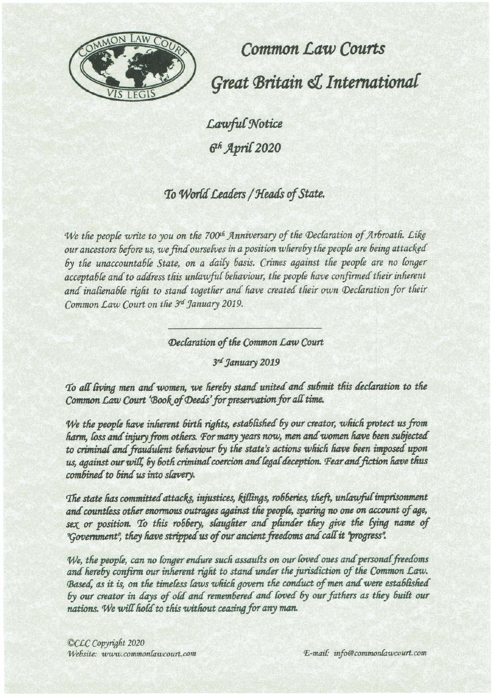

**Common Law Courts** Great Britain & International

Lawful Notice 6<sup>th</sup> April 2020

## To World Leaders / Heads of State.

We the people write to you on the 700<sup>th</sup> Anniversary of the Declaration of Arbroath. Like our ancestors before us, we find ourselves in a position whereby the people are being attacked by the unaccountable State, on a daily basis. Crimes against the people are no longer acceptable and to address this unlawful behaviour, the people have confirmed their inherent and inalienable right to stand together and have created their own Declaration for their Common Law Court on the 3rd January 2019.

## Declaration of the Common Law Court

3rd January 2019

To all living men and women, we hereby stand united and submit this declaration to the Common Law Court 'Book of Deeds' for preservation for all time.

We the people have inherent birth rights, established by our creator, which protect us from harm, loss and injury from others. For many years now, men and women have been subjected to criminal and fraudulent behaviour by the state's actions which have been imposed upon us, against our will, by both criminal coercion and legal deception. Fear and fiction have thus combined to bind us into slavery.

The state has committed attacks, injustices, killings, robberies, theft, unlawful imprisonment and countless other enormous outrages against the people, sparing no one on account of age, sex or position. To this robbery, slaughter and plunder they give the lying name of "Government", they have stripped us of our ancient freedoms and call it "progress".

We, the people, can no longer endure such assaults on our loved ones and personal freedoms and hereby confirm our inherent right to stand under the jurisdiction of the Common Law. Based, as it is, on the timeless laws which govern the conduct of men and were established by our creator in days of old and remembered and loved by our fathers as they built our nations. We will hold to this without ceasing for any man.

©CLC Copyright 2020 Website: www.commonlawcourt.com